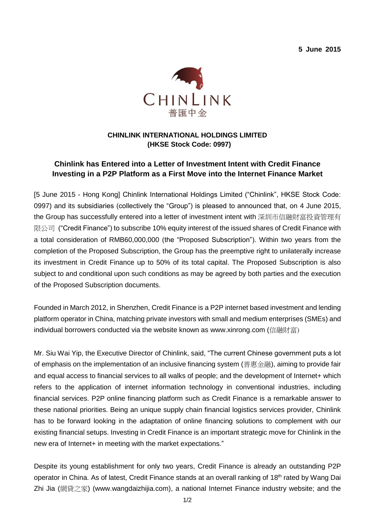**5 June 2015**



## **CHINLINK INTERNATIONAL HOLDINGS LIMITED (HKSE Stock Code: 0997)**

# **Chinlink has Entered into a Letter of Investment Intent with Credit Finance Investing in a P2P Platform as a First Move into the Internet Finance Market**

[5 June 2015 - Hong Kong] Chinlink International Holdings Limited ("Chinlink", HKSE Stock Code: 0997) and its subsidiaries (collectively the "Group") is pleased to announced that, on 4 June 2015, the Group has successfully entered into a letter of investment intent with 深圳市信融財富投資管理有 限公司 ("Credit Finance") to subscribe 10% equity interest of the issued shares of Credit Finance with a total consideration of RMB60,000,000 (the "Proposed Subscription"). Within two years from the completion of the Proposed Subscription, the Group has the preemptive right to unilaterally increase its investment in Credit Finance up to 50% of its total capital. The Proposed Subscription is also subject to and conditional upon such conditions as may be agreed by both parties and the execution of the Proposed Subscription documents.

Founded in March 2012, in Shenzhen, Credit Finance is a P2P internet based investment and lending platform operator in China, matching private investors with small and medium enterprises (SMEs) and individual borrowers conducted via the website known as [www.xinrong.com](http://www.xinrong.com/) (信融財富)

Mr. Siu Wai Yip, the Executive Director of Chinlink, said, "The current Chinese government puts a lot of emphasis on the implementation of an inclusive financing system (普惠金融), aiming to provide fair and equal access to financial services to all walks of people; and the development of Internet+ which refers to the application of internet information technology in conventional industries, including financial services. P2P online financing platform such as Credit Finance is a remarkable answer to these national priorities. Being an unique supply chain financial logistics services provider, Chinlink has to be forward looking in the adaptation of online financing solutions to complement with our existing financial setups. Investing in Credit Finance is an important strategic move for Chinlink in the new era of Internet+ in meeting with the market expectations."

Despite its young establishment for only two years, Credit Finance is already an outstanding P2P operator in China. As of latest, Credit Finance stands at an overall ranking of 18<sup>th</sup> rated by Wang Dai Zhi Jia (網貸之家) (www.wangdaizhijia.com), a national Internet Finance industry website; and the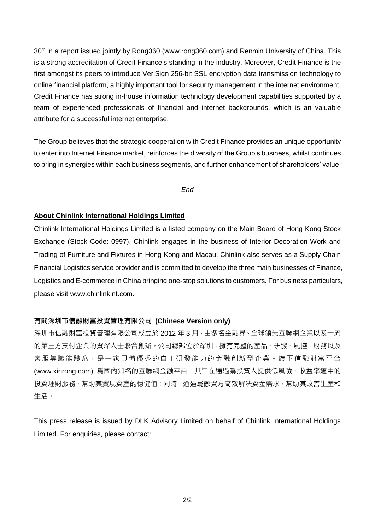30<sup>th</sup> in a report issued jointly by Rong360 (www.rong360.com) and Renmin University of China. This is a strong accreditation of Credit Finance's standing in the industry. Moreover, Credit Finance is the first amongst its peers to introduce VeriSign 256-bit SSL encryption data transmission technology to online financial platform, a highly important tool for security management in the internet environment. Credit Finance has strong in-house information technology development capabilities supported by a team of experienced professionals of financial and internet backgrounds, which is an valuable attribute for a successful internet enterprise.

The Group believes that the strategic cooperation with Credit Finance provides an unique opportunity to enter into Internet Finance market, reinforces the diversity of the Group's business, whilst continues to bring in synergies within each business segments, and further enhancement of shareholders' value.

*– End –*

#### **About Chinlink International Holdings Limited**

Chinlink International Holdings Limited is a listed company on the Main Board of Hong Kong Stock Exchange (Stock Code: 0997). Chinlink engages in the business of Interior Decoration Work and Trading of Furniture and Fixtures in Hong Kong and Macau. Chinlink also serves as a Supply Chain Financial Logistics service provider and is committed to develop the three main businesses of Finance, Logistics and E-commerce in China bringing one-stop solutions to customers. For business particulars, please visit [www.chinlinkint.com.](http://www.chinlinkint.com/)

### **有關深圳市信融財富投資管理有限公司 (Chinese Version only)**

深圳市信融財富投資管理有限公司成立於 2012 年 3 月 · 由多名金融界、全球領先互聯網企業以及一流 的第三方支付企業的資深人士聯合創辦。公司總部位於深圳,擁有完整的産品、研發、風控、財務以及 客服等職能體系,是一家具備優秀的自主研發能力的金融創新型企業。旗下信融財富平台 (www.xinrong.com) 爲國內知名的互聯網金融平台,其旨在通過爲投資人提供低風險、收益率適中的 投資理財服務,幫助其實現資産的穩健值;同時,通過爲融資方高效解决資金需求,幫助其改善生産和 生活。

This press release is issued by DLK Advisory Limited on behalf of Chinlink International Holdings Limited. For enquiries, please contact: